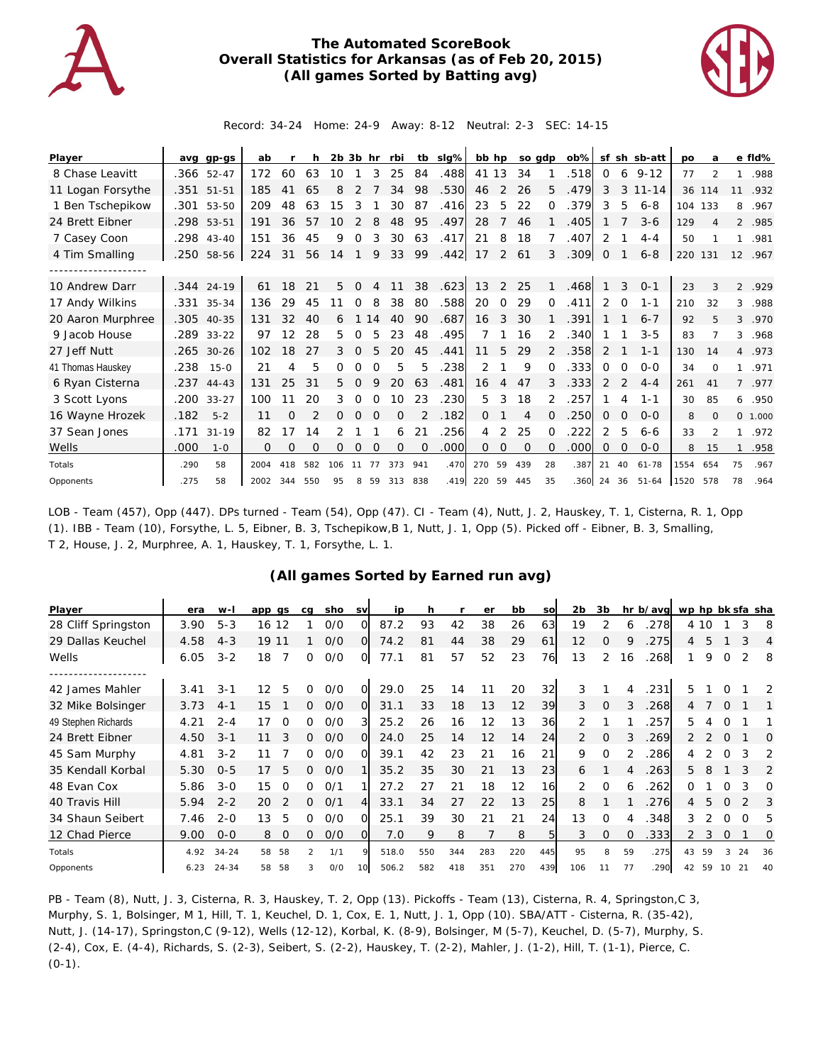

## **The Automated ScoreBook Overall Statistics for Arkansas (as of Feb 20, 2015) (All games Sorted by Batting avg)**



Record: 34-24 Home: 24-9 Away: 8-12 Neutral: 2-3 SEC: 14-15

| Player            | ava  | gp-gs        | ab   |          |     | $2b$ $3b$ hr |          |          | rbi      | tb       | slg% | bb hp    |    | so gdp   |               | $ob\%$ |             |          | sf sh sb-att  | po      | a                        |                | e fld%  |
|-------------------|------|--------------|------|----------|-----|--------------|----------|----------|----------|----------|------|----------|----|----------|---------------|--------|-------------|----------|---------------|---------|--------------------------|----------------|---------|
| 8 Chase Leavitt   |      | .366 52-47   | 172  | 60       | 63  | 10           |          | 3        | 25       | 84       | .488 | 41       | 13 | 34       |               | .518   | $\Omega$    | 6        | $9 - 12$      | 77      | $\overline{\mathcal{L}}$ | 1              | .988    |
| 11 Logan Forsythe | .351 | $51 - 51$    | 185  | 41       | 65  | 8            |          |          | 34       | 98       | .530 | 46       | 2  | 26       | 5             | .479   | 3           |          | $3 \t11 - 14$ | 36      | 114                      | 11             | .932    |
| 1 Ben Tschepikow  | .301 | 53-50        | 209  | 48       | 63  | 15           | 3        |          | 30       | 87       | .416 | 23       | 5  | 22       | $\Omega$      | .379   | 3           | 5        | $6 - 8$       | 104 133 |                          | 8              | .967    |
| 24 Brett Eibner   | .298 | 53-51        | 191  | 36       | 57  | 10           |          | 8        | 48       | 95       | .497 | 28       | 7  | 46       |               | .405   |             |          | $3 - 6$       | 129     |                          |                | 2 .985  |
| 7 Casey Coon      | .298 | $43 - 40$    | 151  | 36       | 45  | 9            | 0        | 3        | 30       | 63       | .417 | 21       | 8  | 18       |               | .407   | 2           |          | $4 - 4$       | 50      |                          | 1              | .981    |
| 4 Tim Smalling    | .250 | 58-56        | 224  | 31       | 56  | 14           |          | 9        | 33       | 99       | .442 | 17       | 2  | 61       | 3             | .309   | $\mathbf 0$ |          | $6 - 8$       | 220     | 131                      |                | 12 .967 |
|                   |      |              |      |          |     |              |          |          |          |          |      |          |    |          |               |        |             |          |               |         |                          |                |         |
| 10 Andrew Darr    |      | .344 24-19   | 61   | 18       | 21  | 5            |          |          | 11       | 38       | .623 | 13       | 2  | 25       |               | .468   |             | 3        | $O - 1$       | 23      | 3                        | $\overline{2}$ | .929    |
| 17 Andy Wilkins   |      | .331 35-34   | 136  | 29       | 45  |              | 0        | 8        | 38       | 80       | .588 | 20       | 0  | 29       | $\Omega$      | .411   | 2           | $\Omega$ | $1 - 1$       | 210     | 32                       | 3              | .988    |
| 20 Aaron Murphree |      | .305 40-35   | 131  | 32       | 40  | 6            |          | 14       | 40       | 90       | .687 | 16       | 3  | 30       |               | .391   |             |          | $6 - 7$       | 92      | 5                        | 3              | .970    |
| 9 Jacob House     |      | .289 33-22   | 97   | 12       | 28  | 5.           | 0        | 5        | 23       | 48       | .495 | 7        |    | 16       | 2             | .340   |             |          | $3 - 5$       | 83      |                          | 3              | .968    |
| 27 Jeff Nutt      |      | .265 30-26   | 102  | 18       | 27  | 3            | Ω        |          | 20       | 45       | .441 | 11       | 5  | 29       | $\mathcal{P}$ | .358   | 2           |          | $1 - 1$       | 130     | 14                       |                | 4 .973  |
| 41 Thomas Hauskey | .238 | $15 - 0$     | 21   | 4        | 5   | 0            | O        | $\Omega$ | 5        | 5        | .238 | 2        |    | 9        | $\Omega$      | .333   | 0           | $\Omega$ | $O - O$       | 34      | $\Omega$                 | 1              | .971    |
| 6 Ryan Cisterna   |      | $.237$ 44-43 | 131  | 25       | 31  | 5.           | $\Omega$ | 9        | 20       | 63       | .481 | 16       | 4  | 47       | 3             | .333   | 2           | 2        | $4 - 4$       | 261     | 41                       |                | 7.977   |
| 3 Scott Lyons     | .200 | $33 - 27$    | 100  | 11       | 20  | 3            | $\Omega$ | 0        | 10       | 23       | .230 | 5        | 3  | 18       | 2             | .257   |             | 4        | $1 - 1$       | 30      | 85                       | 6              | .950    |
| 16 Wayne Hrozek   | .182 | $5 - 2$      | 11   | $\Omega$ |     | 0            | $\Omega$ | $\Omega$ | 0        |          | .182 | $\Omega$ |    | 4        | $\Omega$      | .250   | 0           | 0        | $O - O$       | 8       | $\Omega$                 |                | 0 1.000 |
| 37 Sean Jones     | .171 | $31 - 19$    | 82   | 17       | 14  |              |          |          | 6        | 21       | .256 | 4        | 2  | 25       | $\Omega$      | 222    | 2           | 5        | $6 - 6$       | 33      | $\mathcal{P}$            | $\mathbf{1}$   | .972    |
| Wells             | .000 | $1 - 0$      | 0    | $\Omega$ | O   | 0            | $\Omega$ | $\Omega$ | $\Omega$ | $\Omega$ | .000 | $\Omega$ | 0  | $\Omega$ | $\Omega$      | .000   | 0           | $\Omega$ | $0 - 0$       | 8       | 15                       | $\mathbf{1}$   | .958    |
| Totals            | .290 | 58           | 2004 | 418      | 582 | 106          | 11       | 77       | 373      | 941      | .470 | 270      | 59 | 439      | 28            | .387   | 21          | 40       | $61 - 78$     | 1554    | 654                      | 75             | .967    |
| Opponents         | .275 | 58           | 2002 | 344      | 550 | 95           | 8        | 59       | 313 838  |          | .419 | 220      | 59 | 445      | 35            |        | 360 24 36   |          | $51 - 64$     | 1520    | 578                      | 78             | .964    |

LOB - Team (457), Opp (447). DPs turned - Team (54), Opp (47). CI - Team (4), Nutt, J. 2, Hauskey, T. 1, Cisterna, R. 1, Opp (1). IBB - Team (10), Forsythe, L. 5, Eibner, B. 3, Tschepikow,B 1, Nutt, J. 1, Opp (5). Picked off - Eibner, B. 3, Smalling, T 2, House, J. 2, Murphree, A. 1, Hauskey, T. 1, Forsythe, L. 1.

## **(All games Sorted by Earned run avg)**

| Player              | era  | $W-I$     | app gs   |          | cq       | sho | <b>SV</b> | ip    | h   |     | er  | bb  | SO        | 2b             | 3b       |          | hr b/avg |                |      |          | wp hp bk sfa sha |    |
|---------------------|------|-----------|----------|----------|----------|-----|-----------|-------|-----|-----|-----|-----|-----------|----------------|----------|----------|----------|----------------|------|----------|------------------|----|
| 28 Cliff Springston | 3.90 | $5 - 3$   | 12<br>16 |          |          | O/O | Ω         | 87.2  | 93  | 42  | 38  | 26  | 63        | 19             | 2        | 6        | 278      |                | 4 10 |          | 3                | 8  |
| 29 Dallas Keuchel   | 4.58 | $4 - 3$   | 19 11    |          |          | O/O | O         | 74.2  | 81  | 44  | 38  | 29  | 61        | 12             | $\Omega$ | 9        | 275      | 4              | 5    |          | 3                | 4  |
| Wells               | 6.05 | $3 - 2$   | 18       | 7        | 0        | 0/0 | O         | 77.1  | 81  | 57  | 52  | 23  | 76        | 13             | 2        | 16       | 268      |                | 9    | 0        | 2                | 8  |
|                     |      |           |          |          |          |     |           |       |     |     |     |     |           |                |          |          |          |                |      |          |                  |    |
| 42 James Mahler     | 3.41 | $3 - 1$   | 12       | 5        | 0        | O/O | O         | 29.0  | 25  | 14  |     | 20  | 32        | 3              |          | 4        | .231     | 5.             |      |          |                  | 2  |
| 32 Mike Bolsinger   | 3.73 | $4 - 1$   | 15       |          | $\Omega$ | O/O | $\Omega$  | 31.1  | 33  | 18  | 13  | 12  | 39        | 3              | $\Omega$ | 3        | 268      | 4              |      | $\Omega$ |                  |    |
| 49 Stephen Richards | 4.21 | $2 - 4$   | 17       | 0        | 0        | O/O | 3         | 25.2  | 26  | 16  | 12  | 13  | 36        | 2              |          |          | 257      | 5.             |      | O        |                  |    |
| 24 Brett Eibner     | 4.50 | $3 - 1$   | 11       | 3        | $\Omega$ | O/O | $\Omega$  | 24.0  | 25  | 14  | 12  | 14  | 24        | $\overline{2}$ | $\Omega$ | 3        | 269      |                |      | $\Omega$ |                  | Ω  |
| 45 Sam Murphy       | 4.81 | $3 - 2$   | 11       |          | 0        | O/O | $\Omega$  | 39.1  | 42  | 23  | 21  | 16  | 21        | 9              | $\Omega$ |          | 286      | 4              |      |          | 3                | 2  |
| 35 Kendall Korbal   | 5.30 | $0 - 5$   | 17       | 5        | 0        | O/O |           | 35.2  | 35  | 30  | 21  | 13  | 23        | 6              |          | 4        | 263      | 5.             | 8    |          | 3                | 2  |
| 48 Evan Cox         | 5.86 | $3 - 0$   | 15       | $\Omega$ | 0        | O/1 |           | 27.2  | 27  | 21  | 18  | 12  | 16        | 2              | $\Omega$ | 6        | 262      | Ω              |      | Ω        |                  | Ω  |
| 40 Travis Hill      | 5.94 | $2 - 2$   | 20       | 2        | $\Omega$ | O/1 | 4         | 33.1  | 34  | 27  | 22  | 13  | <b>25</b> | 8              |          |          | 276      | $\overline{4}$ | 5    | $\Omega$ |                  | 3  |
| 34 Shaun Seibert    | 7.46 | $2 - 0$   | 13       | 5        | 0        | O/O | O         | 25.1  | 39  | 30  | 21  | 21  | 24        | 13             | $\Omega$ | 4        | .348     | 3              |      | $\Omega$ | $\Omega$         | 5  |
| 12 Chad Pierce      | 9.00 | $0 - 0$   | 8        | $\Omega$ | 0        | O/O | $\Omega$  | 7.0   | 9   | 8   |     | 8   | 5         | 3              | $\Omega$ | $\Omega$ | 333      | $\overline{2}$ | 3    | $\Omega$ |                  | 0  |
| Totals              | 4.92 | $34 - 24$ | 58       | 58       | 2        | 1/1 |           | 518.0 | 550 | 344 | 283 | 220 | 445       | 95             | 8        | 59       | .275     | 43             | 59   |          | 24               | 36 |
| Opponents           | 6.23 | $24 - 34$ | 58       | 58       |          | O/O | 10        | 506.2 | 582 | 418 | 351 | 270 | 439       | 106            | 11       | 77       | .290     | 42             | 59   | 10       | 21               | 40 |

PB - Team (8), Nutt, J. 3, Cisterna, R. 3, Hauskey, T. 2, Opp (13). Pickoffs - Team (13), Cisterna, R. 4, Springston,C 3, Murphy, S. 1, Bolsinger, M 1, Hill, T. 1, Keuchel, D. 1, Cox, E. 1, Nutt, J. 1, Opp (10). SBA/ATT - Cisterna, R. (35-42), Nutt, J. (14-17), Springston,C (9-12), Wells (12-12), Korbal, K. (8-9), Bolsinger, M (5-7), Keuchel, D. (5-7), Murphy, S. (2-4), Cox, E. (4-4), Richards, S. (2-3), Seibert, S. (2-2), Hauskey, T. (2-2), Mahler, J. (1-2), Hill, T. (1-1), Pierce, C.  $(0-1)$ .